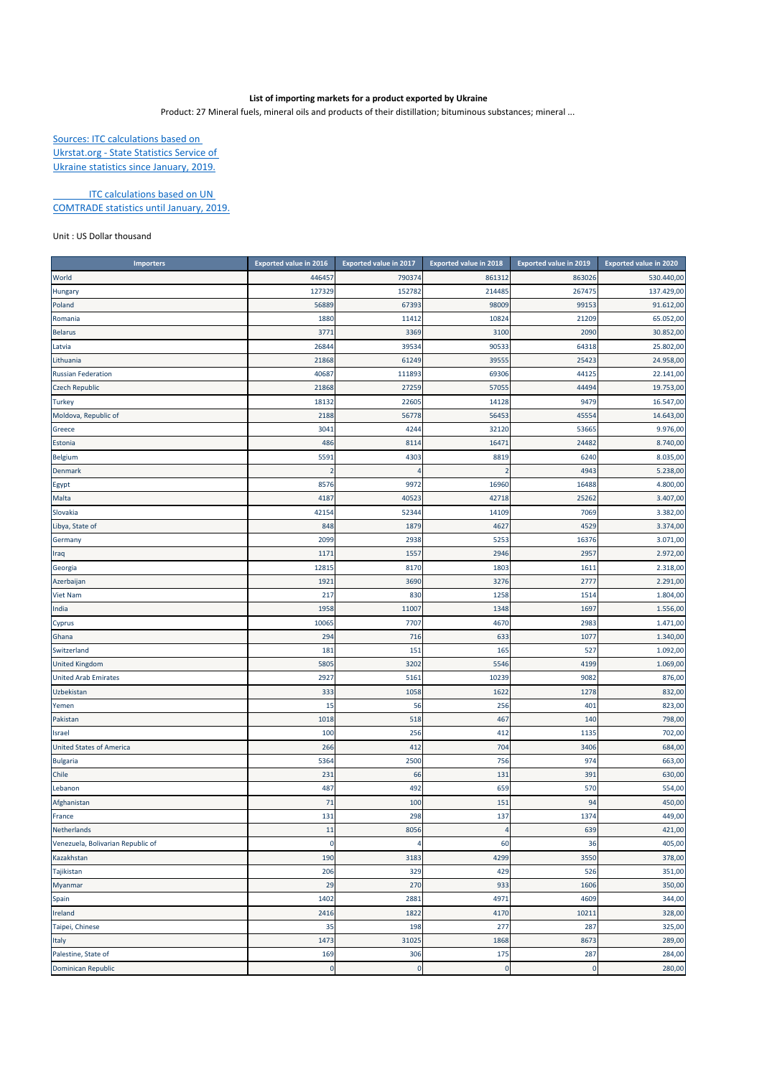## **List of importing markets for a product exported by Ukraine**

Product: 27 Mineral fuels, mineral oils and products of their distillation; bituminous substances; mineral ...

Sources: ITC calculations based on Ukrstat.org ‐ State Statistics Service of Ukraine statistics since January, 2019.

**ITC calculations based on UN** COMTRADE statistics until January, 2019.

## Unit : US Dollar thousand

| <b>Importers</b>                  | <b>Exported value in 2016</b> | <b>Exported value in 2017</b> | <b>Exported value in 2018</b> | <b>Exported value in 2019</b> | <b>Exported value in 2020</b> |
|-----------------------------------|-------------------------------|-------------------------------|-------------------------------|-------------------------------|-------------------------------|
| World                             | 44645                         | 790374                        | 861312                        | 863026                        | 530.440,00                    |
| Hungary                           | 127329                        | 152782                        | 214485                        | 267475                        | 137.429,00                    |
| Poland                            | 56889                         | 67393                         | 98009                         | 99153                         | 91.612,00                     |
| Romania                           | 1880                          | 11412                         | 10824                         | 21209                         | 65.052,00                     |
| <b>Belarus</b>                    | 3771                          | 3369                          | 3100                          | 2090                          | 30.852,00                     |
| Latvia                            | 26844                         | 39534                         | 90533                         | 64318                         | 25.802,00                     |
| Lithuania                         | 21868                         | 61249                         | 39555                         | 25423                         | 24.958,00                     |
| <b>Russian Federation</b>         | 40687                         | 111893                        | 69306                         | 44125                         | 22.141,00                     |
| <b>Czech Republic</b>             | 21868                         | 27259                         | 57055                         | 44494                         | 19.753,00                     |
| <b>Turkey</b>                     | 18132                         | 22605                         | 14128                         | 9479                          | 16.547,00                     |
| Moldova, Republic of              | 2188                          | 56778                         | 56453                         | 45554                         | 14.643,00                     |
| Greece                            | 3041                          | 4244                          | 32120                         | 53665                         | 9.976,00                      |
| Estonia                           | 486                           | 8114                          | 16471                         | 24482                         | 8.740,00                      |
| Belgium                           | 559                           | 4303                          | 8819                          | 6240                          | 8.035,00                      |
| <b>Denmark</b>                    |                               |                               | $\overline{2}$                | 4943                          | 5.238,00                      |
| Egypt                             | 8576                          | 9972                          | 16960                         | 16488                         | 4.800,00                      |
| Malta                             | 418                           | 40523                         | 42718                         | 25262                         | 3.407,00                      |
| Slovakia                          | 42154                         | 52344                         | 14109                         | 7069                          | 3.382,00                      |
| Libya, State of                   | 848                           | 1879                          | 4627                          | 4529                          | 3.374,00                      |
| Germany                           | 2099                          | 2938                          | 5253                          | 16376                         | 3.071,00                      |
| Iraq                              | 1171                          | 1557                          | 2946                          | 2957                          | 2.972,00                      |
| Georgia                           | 1281                          | 8170                          | 1803                          | 1611                          | 2.318,00                      |
| Azerbaijan                        | 1921                          | 3690                          | 3276                          | 2777                          | 2.291,00                      |
| <b>Viet Nam</b>                   | 217                           | 830                           | 1258                          | 1514                          | 1.804,00                      |
| India                             | 1958                          | 11007                         | 1348                          | 169                           | 1.556,00                      |
| Cyprus                            | 10065                         | 7707                          | 4670                          | 298                           | 1.471,00                      |
| Ghana                             | 294                           | 716                           | 633                           | 1077                          | 1.340,00                      |
| Switzerland                       | 181                           | 151                           | 165                           | 527                           | 1.092,00                      |
| <b>United Kingdom</b>             | 5805                          | 3202                          | 5546                          | 4199                          | 1.069,00                      |
| <b>United Arab Emirates</b>       | 2927                          | 5161                          | 10239                         | 9082                          | 876,00                        |
| Uzbekistan                        | 333                           | 1058                          | 1622                          | 1278                          | 832,00                        |
| Yemen                             | 15                            | 56                            | 256                           | 401                           | 823,00                        |
| Pakistan                          | 1018                          | 518                           | 467                           | 140                           | 798,00                        |
| Israel                            | 100                           | 256                           | 412                           | 1135                          | 702,00                        |
| <b>United States of America</b>   | 266                           | 412                           | 704                           | 3406                          | 684,00                        |
| <b>Bulgaria</b>                   | 5364                          | 2500                          | 756                           | 974                           | 663,00                        |
| Chile                             | 231                           | 66                            | 131                           | 391                           | 630,00                        |
| Lebanon                           | 487                           | 492                           | 659                           | 570                           | 554,00                        |
| Afghanistan                       | 71                            | 100                           | 151                           | 94                            | 450,00                        |
| France                            | 131                           | 298                           | 137                           | 1374                          | 449,00                        |
| Netherlands                       | 11                            | 8056                          |                               | 639                           | 421,00                        |
| Venezuela, Bolivarian Republic of | $\mathbf 0$                   | 4                             | 60                            | 36                            | 405,00                        |
| Kazakhstan                        | 190                           | 3183                          | 4299                          | 3550                          | 378,00                        |
| Tajikistan                        | 206                           | 329                           | 429                           | 526                           | 351,00                        |
| Myanmar                           | 29                            | 270                           | 933                           | 1606                          | 350,00                        |
| Spain                             | 1402                          | 2881                          | 4971                          | 4609                          | 344,00                        |
| Ireland                           | 2416                          | 1822                          | 4170                          | 10211                         | 328,00                        |
| Taipei, Chinese                   | 35                            | 198                           | 277                           | 287                           | 325,00                        |
| Italy                             | 1473                          | 31025                         | 1868                          | 8673                          | 289,00                        |
| Palestine, State of               | 169                           | 306                           | 175                           | 287                           | 284,00                        |
| Dominican Republic                | $\mathbf 0$                   | $\pmb{0}$                     | $\pmb{0}$                     | $\mathbf 0$                   | 280,00                        |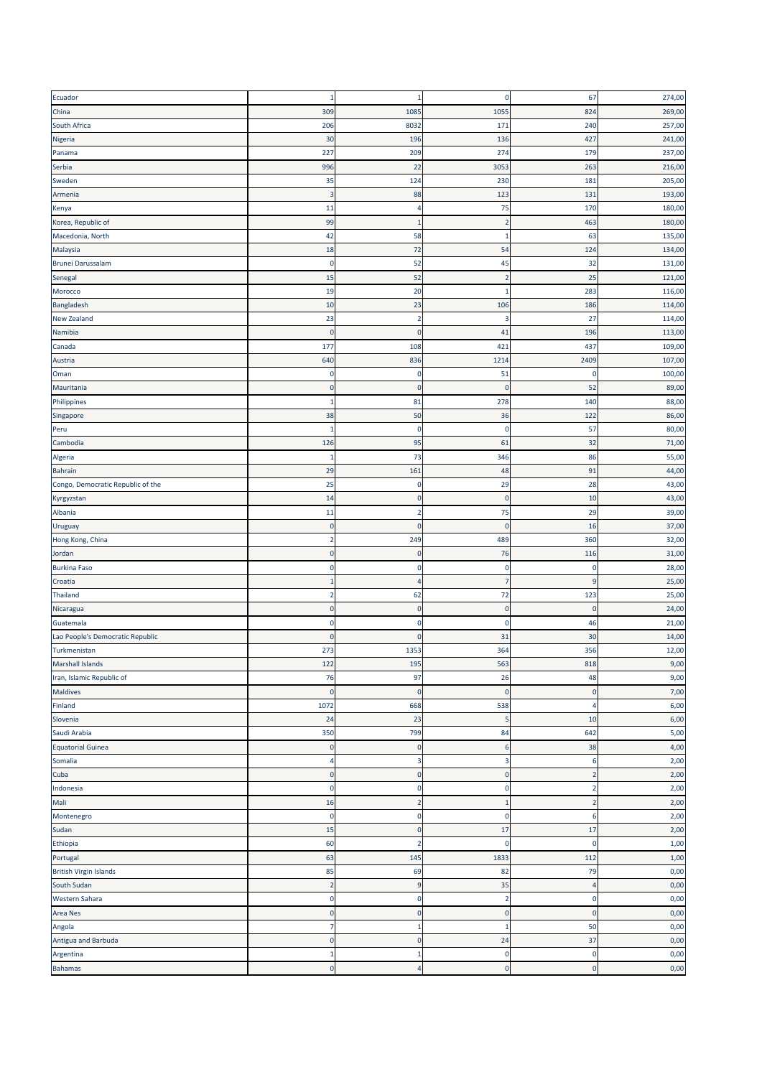| Ecuador                           | $\mathbf 1$    | $\mathbf{1}$   | 0                         | 67             | 274,00 |
|-----------------------------------|----------------|----------------|---------------------------|----------------|--------|
| China                             | 309            | 1085           | 1055                      | 824            | 269,00 |
| South Africa                      | 206            | 8032           | 171                       | 240            | 257,00 |
| Nigeria                           | 30             | 196            | 136                       | 427            | 241,00 |
| Panama                            | 227            | 209            | 274                       | 179            | 237,00 |
| Serbia                            | 996            | 22             | 3053                      | 263            | 216,00 |
| Sweden                            | 35             | 124            | 230                       | 181            | 205,00 |
|                                   |                |                |                           |                |        |
| Armenia                           | 3              | 88             | 123                       | 131            | 193,00 |
| Kenya                             | 11             | 4              | 75                        | 170            | 180,00 |
| Korea, Republic of                | 99             | п              | $\overline{2}$            | 463            | 180,00 |
| Macedonia, North                  | 42             | 58             | 1                         | 63             | 135,00 |
| Malaysia                          | 18             | 72             | 54                        | 124            | 134,00 |
| Brunei Darussalam                 | $\pmb{0}$      | 52             | 45                        | 32             | 131,00 |
| Senegal                           | 15             | 52             | $\overline{2}$            | 25             | 121,00 |
| Morocco                           | 19             | 20             | $\mathbf{1}$              | 283            | 116,00 |
| Bangladesh                        | 10             | 23             | 106                       | 186            | 114,00 |
| <b>New Zealand</b>                | 23             | $\overline{2}$ | 3                         | 27             | 114,00 |
| Namibia                           | $\overline{0}$ | $\mathbf 0$    | 41                        | 196            | 113,00 |
| Canada                            | 177            | 108            | 421                       | 437            | 109,00 |
| Austria                           | 640            | 836            | 1214                      | 2409           | 107,00 |
| Oman                              | 0              | 0              | 51                        | 0              | 100,00 |
| Mauritania                        | $\mathbf 0$    | $\bf{0}$       | $\bf{0}$                  | 52             | 89,00  |
| Philippines                       | $\mathbf{1}$   | 81             | 278                       | 140            | 88,00  |
|                                   |                |                |                           | 122            |        |
| Singapore                         | 38             | 50             | 36                        |                | 86,00  |
| Peru                              | 1              | $\mathbf 0$    | $\pmb{0}$                 | 57             | 80,00  |
| Cambodia                          | 126            | 95             | 61                        | 32             | 71,00  |
| Algeria                           | 1              | 73             | 346                       | 86             | 55,00  |
| <b>Bahrain</b>                    | 29             | 161            | 48                        | 91             | 44,00  |
| Congo, Democratic Republic of the | 25             | 0              | 29                        | 28             | 43,00  |
| Kyrgyzstan                        | 14             | $\pmb{0}$      | $\pmb{0}$                 | 10             | 43,00  |
| Albania                           | 11             | $\overline{2}$ | 75                        | 29             | 39,00  |
| Uruguay                           | 0              | $\bf{0}$       | $\mathbf 0$               | 16             | 37,00  |
| Hong Kong, China                  | $\overline{2}$ | 249            | 489                       | 360            | 32,00  |
| Jordan                            | $\pmb{0}$      | 0              | 76                        | 116            | 31,00  |
| <b>Burkina Faso</b>               | $\Omega$       | $\mathbf 0$    | $\pmb{0}$                 | $\mathbf 0$    | 28,00  |
| Croatia                           | 1              | 4              | 7                         | q              | 25,00  |
| Thailand                          | $\overline{2}$ | 62             | 72                        | 123            | 25,00  |
| Nicaragua                         | $\pmb{0}$      | $\pmb{0}$      | $\pmb{0}$                 | $\mathbf 0$    | 24,00  |
| Guatemala                         | 0              | 0              | $\pmb{0}$                 | 46             | 21,00  |
| Lao People's Democratic Republic  | $\Omega$       | $\mathbf 0$    | 31                        | 30             | 14,00  |
|                                   | 273            | 1353           | 364                       | 356            | 12,00  |
| Turkmenistan                      |                |                |                           |                |        |
| Marshall Islands                  | 122            | 195            | 563                       | 818            | 9,00   |
| Iran, Islamic Republic of         | 76             | 97             | 26                        | 48             | 9,00   |
| <b>Maldives</b>                   | $\mathbf 0$    | $\mathbf 0$    | $\pmb{0}$                 | $\mathbf 0$    | 7,00   |
| Finland                           | 1072           | 668            | 538                       | Δ              | 6,00   |
| Slovenia                          | 24             | 23             | 5                         | 10             | 6,00   |
| Saudi Arabia                      | 350            | 799            | 84                        | 642            | 5,00   |
| <b>Equatorial Guinea</b>          | $\pmb{0}$      | $\pmb{0}$      | 6                         | 38             | 4,00   |
| Somalia                           | 4              | 3              | $\ensuremath{\mathsf{3}}$ | 6              | 2,00   |
| Cuba                              | $\pmb{0}$      | $\pmb{0}$      | $\pmb{0}$                 | $\overline{2}$ | 2,00   |
| Indonesia                         | $\mathbf 0$    | $\pmb{0}$      | $\pmb{0}$                 | $\overline{2}$ | 2,00   |
| Mali                              | 16             | $\overline{2}$ | $\mathbf{1}$              | $\overline{2}$ | 2,00   |
| Montenegro                        | $\pmb{0}$      | 0              | $\pmb{0}$                 | 6              | 2,00   |
| Sudan                             | 15             | $\pmb{0}$      | 17                        | 17             | 2,00   |
| Ethiopia                          | 60             | $\overline{2}$ | $\pmb{0}$                 | $\mathbf 0$    | 1,00   |
| Portugal                          | 63             | 145            | 1833                      | 112            | 1,00   |
|                                   |                | 69             | 82                        |                |        |
| <b>British Virgin Islands</b>     | 85             |                |                           | 79             | 0,00   |
| South Sudan                       | $\overline{2}$ | 9              | 35                        | $\overline{4}$ | 0,00   |
| Western Sahara                    | $\pmb{0}$      | 0              | $\mathbf 2$               | $\mathbf 0$    | 0,00   |
| Area Nes                          | $\mathbf{0}$   | $\pmb{0}$      | $\pmb{0}$                 | $\mathbf{0}$   | 0,00   |
| Angola                            | 7              | 1              | 1                         | 50             | 0,00   |
| Antigua and Barbuda               | $\pmb{0}$      | 0              | 24                        | 37             | 0,00   |
| Argentina                         | $1\,$          | $\mathbf 1$    | $\pmb{0}$                 | $\mathbf 0$    | 0,00   |
| <b>Bahamas</b>                    | $\pmb{0}$      | $\overline{4}$ | $\pmb{0}$                 | $\pmb{0}$      | 0,00   |